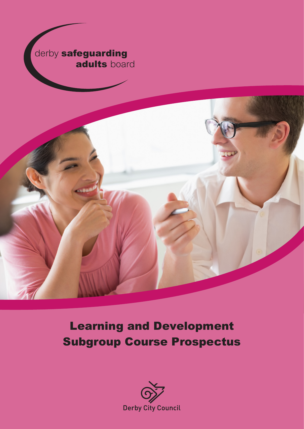



Learning and Development Subgroup Course Prospectus

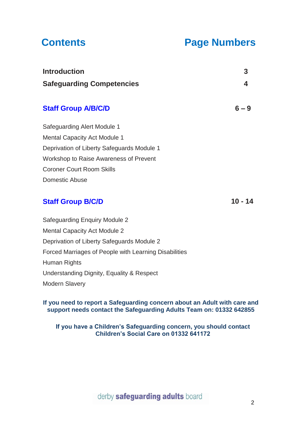# **Contents Page Numbers**

| <b>Introduction</b>                        | 3       |
|--------------------------------------------|---------|
| <b>Safeguarding Competencies</b>           | 4       |
| <b>Staff Group A/B/C/D</b>                 | $6 - 9$ |
| Safeguarding Alert Module 1                |         |
| <b>Mental Capacity Act Module 1</b>        |         |
| Deprivation of Liberty Safeguards Module 1 |         |
| Workshop to Raise Awareness of Prevent     |         |
| <b>Coroner Court Room Skills</b>           |         |
| Domestic Abuse                             |         |
| <b>Staff Group B/C/D</b>                   | 10 - 14 |

# **Staff Group B/C/D**

Safeguarding Enquiry Module 2 Mental Capacity Act Module 2 Deprivation of Liberty Safeguards Module 2 Forced Marriages of People with Learning Disabilities Human Rights Understanding Dignity, Equality & Respect Modern Slavery

## **If you need to report a Safeguarding concern about an Adult with care and support needs contact the Safeguarding Adults Team on: 01332 642855**

## **If you have a Children's Safeguarding concern, you should contact Children's Social Care on 01332 641172**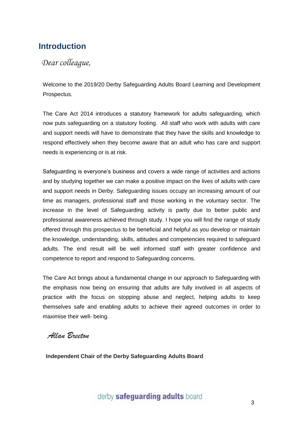# <span id="page-2-0"></span>**Introduction**

# *Dear colleague,*

Welcome to the 2019/20 Derby Safeguarding Adults Board Learning and Development Prospectus.

The Care Act 2014 introduces a statutory framework for adults safeguarding, which now puts safeguarding on a statutory footing. All staff who work with adults with care and support needs will have to demonstrate that they have the skills and knowledge to respond effectively when they become aware that an adult who has care and support needs is experiencing or is at risk.

Safeguarding is everyone's business and covers a wide range of activities and actions and by studying together we can make a positive impact on the lives of adults with care and support needs in Derby. Safeguarding issues occupy an increasing amount of our time as managers, professional staff and those working in the voluntary sector. The increase in the level of Safeguarding activity is partly due to better public and professional awareness achieved through study. I hope you will find the range of study offered through this prospectus to be beneficial and helpful as you develop or maintain the knowledge, understanding, skills, attitudes and competencies required to safeguard adults. The end result will be well informed staff with greater confidence and competence to report and respond to Safeguarding concerns.

The Care Act brings about a fundamental change in our approach to Safeguarding with the emphasis now being on ensuring that adults are fully involved in all aspects of practice with the focus on stopping abuse and neglect, helping adults to keep themselves safe and enabling adults to achieve their agreed outcomes in order to maximise their well- being.

*Allan Breeton*

**Independent Chair of the Derby Safeguarding Adults Board**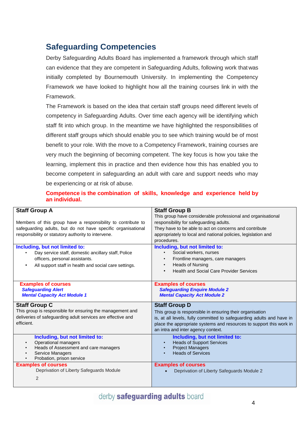# <span id="page-3-0"></span>**Safeguarding Competencies**

Derby Safeguarding Adults Board has implemented a framework through which staff can evidence that they are competent in Safeguarding Adults, following work that was initially completed by Bournemouth University. In implementing the Competency Framework we have looked to highlight how all the training courses link in with the Framework.

The Framework is based on the idea that certain staff groups need different levels of competency in Safeguarding Adults. Over time each agency will be identifying which staff fit into which group. In the meantime we have highlighted the responsibilities of different staff groups which should enable you to see which training would be of most benefit to your role. With the move to a Competency Framework, training courses are very much the beginning of becoming competent. The key focus is how you take the learning, implement this in practice and then evidence how this has enabled you to become competent in safeguarding an adult with care and support needs who may be experiencing or at risk of abuse.

### **Competence is the combination of skills, knowledge and experience held by an individual.**

| <b>Staff Group A</b><br>Members of this group have a responsibility to contribute to<br>safeguarding adults, but do not have specific organisational<br>responsibility or statutory authority to intervene. | <b>Staff Group B</b><br>This group have considerable professional and organisational<br>responsibility for safeguarding adults.<br>They have to be able to act on concerns and contribute<br>appropriately to local and national policies, legislation and<br>procedures. |
|-------------------------------------------------------------------------------------------------------------------------------------------------------------------------------------------------------------|---------------------------------------------------------------------------------------------------------------------------------------------------------------------------------------------------------------------------------------------------------------------------|
| Including, but not limited to:<br>Day service staff, domestic ancillary staff, Police<br>officers, personal assistants.<br>All support staff in health and social care settings.<br>$\bullet$               | Including, but not limited to:<br>Social workers, nurses<br>Frontline managers, care managers<br><b>Heads of Nursing</b><br><b>Health and Social Care Provider Services</b>                                                                                               |
| <b>Examples of courses</b><br><b>Safeguarding Alert</b><br><b>Mental Capacity Act Module 1</b>                                                                                                              | <b>Examples of courses</b><br><b>Safeguarding Enquire Module 2</b><br><b>Mental Capacity Act Module 2</b>                                                                                                                                                                 |
| <b>Staff Group C</b><br>This group is responsible for ensuring the management and<br>deliveries of safeguarding adult services are effective and<br>efficient.                                              | <b>Staff Group D</b><br>This group is responsible in ensuring their organisation<br>is, at all levels, fully committed to safeguarding adults and have in<br>place the appropriate systems and resources to support this work in<br>an intra and inter agency context.    |
| Including, but not limited to:<br>Operational managers<br>$\bullet$<br>Heads of Assessment and care managers<br>$\bullet$<br>Service Managers<br>Probation, prison service                                  | Including, but not limited to:<br><b>Heads of Support Services</b><br><b>Project Managers</b><br><b>Heads of Services</b>                                                                                                                                                 |
| <b>Examples of courses</b><br>Deprivation of Liberty Safeguards Module<br>2                                                                                                                                 | <b>Examples of courses</b><br>Deprivation of Liberty Safeguards Module 2                                                                                                                                                                                                  |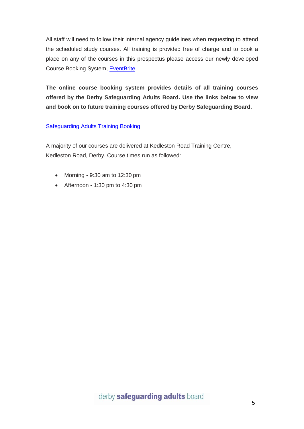All staff will need to follow their internal agency guidelines when requesting to attend the scheduled study courses. All training is provided free of charge and to book a place on any of the courses in this prospectus please access our newly developed Course Booking System, [EventBrite.](https://www.eventbrite.co.uk/o/derby-safeguarding-adults-board-dsab-18931214319)

**The online course booking system provides details of all training courses offered by the Derby Safeguarding Adults Board. Use the links below to view and book on to future training courses offered by Derby Safeguarding Board.**

### [Safeguarding Adults Training Booking](https://www.eventbrite.co.uk/o/derby-safeguarding-adults-board-dsab-18931214319)

A majority of our courses are delivered at Kedleston Road Training Centre, Kedleston Road, Derby. Course times run as followed:

- Morning 9:30 am to 12:30 pm
- Afternoon 1:30 pm to 4:30 pm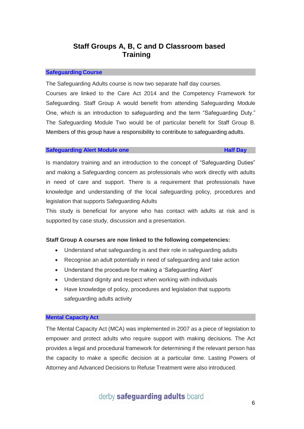# **Staff Groups A, B, C and D Classroom based Training**

#### **Safeguarding Course**

The Safeguarding Adults course is now two separate half day courses.

Courses are linked to the Care Act 2014 and the Competency Framework for Safeguarding. Staff Group A would benefit from attending Safeguarding Module One, which is an introduction to safeguarding and the term "Safeguarding Duty." The Safeguarding Module Two would be of particular benefit for Staff Group B. Members of this group have a responsibility to contribute to safeguarding adults.

#### **Safeguarding Alert Module one Half Day**

Is mandatory training and an introduction to the concept of "Safeguarding Duties" and making a Safeguarding concern as professionals who work directly with adults in need of care and support. There is a requirement that professionals have knowledge and understanding of the local safeguarding policy, procedures and legislation that supports Safeguarding Adults

This study is beneficial for anyone who has contact with adults at risk and is supported by case study, discussion and a presentation.

#### **Staff Group A courses are now linked to the following competencies:**

- Understand what safeguarding is and their role in safeguarding adults
- Recognise an adult potentially in need of safeguarding and take action
- Understand the procedure for making a 'Safeguarding Alert'
- Understand dignity and respect when working with individuals
- Have knowledge of policy, procedures and legislation that supports safeguarding adults activity

#### **Mental Capacity Act**

The Mental Capacity Act (MCA) was implemented in 2007 as a piece of legislation to empower and protect adults who require support with making decisions. The Act provides a legal and procedural framework for determining if the relevant person has the capacity to make a specific decision at a particular time. Lasting Powers of Attorney and Advanced Decisions to Refuse Treatment were also introduced.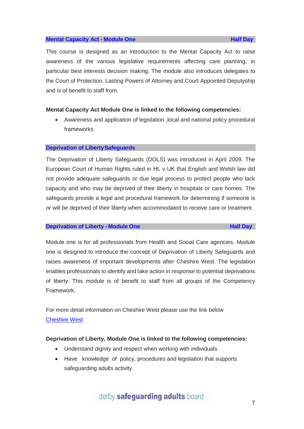#### **Mental Capacity Act - Module One Half Day Half** Day

This course is designed as an introduction to the Mental Capacity Act to raise awareness of the various legislative requirements affecting care planning, in particular best interests decision making. The module also introduces delegates to the Court of Protection, Lasting Powers of Attorney and Court Appointed Deputyship and is of benefit to staff from.

#### **Mental Capacity Act Module One is linked to the following competencies:**

 Awareness and application of legislation ,local and national policy procedural frameworks

#### **Deprivation of LibertySafeguards**

The Deprivation of Liberty Safeguards (DOLS) was introduced in April 2009. The European Court of Human Rights ruled in HL v UK that English and Welsh law did not provide adequate safeguards or due legal process to protect people who lack capacity and who may be deprived of their liberty in hospitals or care homes. The safeguards provide a legal and procedural framework for determining if someone is or will be deprived of their liberty when accommodated to receive care or treatment.

#### **Deprivation of Liberty - Module One Half Day**

Module one is for all professionals from Health and Social Care agencies. Module one is designed to introduce the concept of Deprivation of Liberty Safeguards and raises awareness of important developments after Cheshire West. The legislation enables professionals to identify and take action in response to potential deprivations of liberty. This module is of benefit to staff from all groups of the Competency Framework.

For more detail information on Cheshire West please use the link below [Cheshire West](https://www.gov.uk/government/uploads/system/uploads/attachment_data/file/300106/DH_Note_re_Supreme_Court_DoLS_Judgment.pdf)

#### **Deprivation of Liberty, Module One is linked to the following competencies:**

- Understand dignity and respect when working with individuals
- Have knowledge of policy, procedures and legislation that supports safeguarding adults activity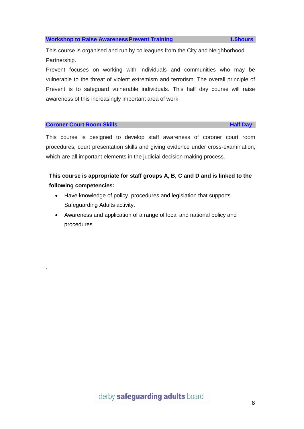# derby safeguarding adults board

### **Workshop to Raise Awareness Prevent Training <b>1.5hours**

This course is organised and run by colleagues from the City and Neighborhood Partnership.

Prevent focuses on working with individuals and communities who may be vulnerable to the threat of violent extremism and terrorism. The overall principle of Prevent is to safeguard vulnerable individuals. This half day course will raise awareness of this increasingly important area of work.

#### **Coroner Court Room Skills All Construction Construction Construction Construction Construction Construction Construction Construction Construction Construction Construction Construction Construction Construction Constru**

.

This course is designed to develop staff awareness of coroner court room procedures, court presentation skills and giving evidence under cross-examination, which are all important elements in the judicial decision making process.

# **This course is appropriate for staff groups A, B, C and D and is linked to the following competencies:**

- Have knowledge of policy, procedures and legislation that supports Safeguarding Adults activity.
- Awareness and application of a range of local and national policy and procedures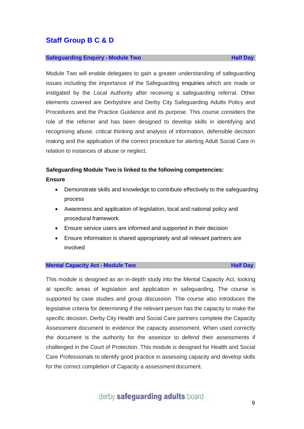#### **Safeguarding Enquiry - Module Two Half Day**

Module Two will enable delegates to gain a greater understanding of safeguarding issues including the importance of the Safeguarding enquiries which are made or instigated by the Local Authority after receiving a safeguarding referral. Other elements covered are Derbyshire and Derby City Safeguarding Adults Policy and Procedures and the Practice Guidance and its purpose. This course considers the role of the referrer and has been designed to develop skills in identifying and recognising abuse, critical thinking and analysis of information, defensible decision making and the application of the correct procedure for alerting Adult Social Care in relation to instances of abuse or neglect.

#### **Safeguarding Module Two is linked to the following competencies:**

**Ensure**

- Demonstrate skills and knowledge to contribute effectively to the safeguarding process
- Awareness and application of legislation, local and national policy and procedural framework
- Ensure service users are informed and supported in their decision
- Ensure information is shared appropriately and all relevant partners are involved

#### **Mental Capacity Act - Module Two Half Day**

This module is designed as an in-depth study into the Mental Capacity Act, looking at specific areas of legislation and application in safeguarding. The course is supported by case studies and group discussion. The course also introduces the legislative criteria for determining if the relevant person has the capacity to make the specific decision. Derby City Health and Social Care partners complete the Capacity Assessment document to evidence the capacity assessment. When used correctly the document is the authority for the assessor to defend their assessments if challenged in the Court of Protection. This module is designed for Health and Social Care Professionals to identify good practice in assessing capacity and develop skills for the correct completion of Capacity a assessment document.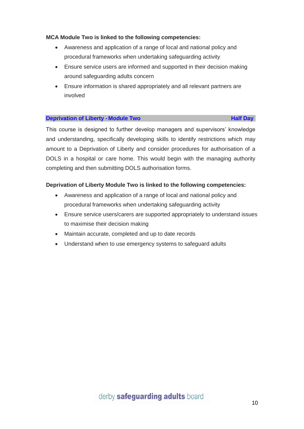### **MCA Module Two is linked to the following competencies:**

- Awareness and application of a range of local and national policy and procedural frameworks when undertaking safeguarding activity
- Ensure service users are informed and supported in their decision making around safeguarding adults concern
- Ensure information is shared appropriately and all relevant partners are involved

#### **Deprivation of Liberty - Module Two <b>Access 2008 Half** Day

This course is designed to further develop managers and supervisors' knowledge and understanding, specifically developing skills to identify restrictions which may amount to a Deprivation of Liberty and consider procedures for authorisation of a DOLS in a hospital or care home. This would begin with the managing authority completing and then submitting DOLS authorisation forms.

### **Deprivation of Liberty Module Two is linked to the following competencies:**

- Awareness and application of a range of local and national policy and procedural frameworks when undertaking safeguarding activity
- Ensure service users/carers are supported appropriately to understand issues to maximise their decision making
- Maintain accurate, completed and up to date records
- Understand when to use emergency systems to safeguard adults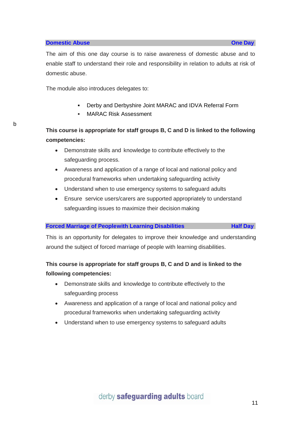b

The aim of this one day course is to raise awareness of domestic abuse and to enable staff to understand their role and responsibility in relation to adults at risk of domestic abuse.

The module also introduces delegates to:

- Derby and Derbyshire Joint MARAC and IDVA Referral Form
- MARAC Risk Assessment

**This course is appropriate for staff groups B, C and D is linked to the following competencies:**

- Demonstrate skills and knowledge to contribute effectively to the safeguarding process.
- Awareness and application of a range of local and national policy and procedural frameworks when undertaking safeguarding activity
- Understand when to use emergency systems to safeguard adults
- Ensure service users/carers are supported appropriately to understand safeguarding issues to maximize their decision making

#### **Forced Marriage of Peoplewith Learning Disabilities <b>Half** Day

This is an opportunity for delegates to improve their knowledge and understanding around the subject of forced marriage of people with learning disabilities.

# **This course is appropriate for staff groups B, C and D and is linked to the following competencies:**

- Demonstrate skills and knowledge to contribute effectively to the safeguarding process
- Awareness and application of a range of local and national policy and procedural frameworks when undertaking safeguarding activity
- Understand when to use emergency systems to safeguard adults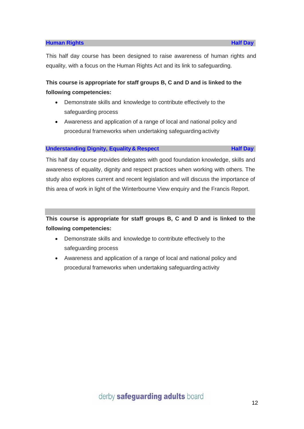#### **Human Rights Half Day**

This half day course has been designed to raise awareness of human rights and equality, with a focus on the Human Rights Act and its link to safeguarding.

# **This course is appropriate for staff groups B, C and D and is linked to the following competencies:**

- Demonstrate skills and knowledge to contribute effectively to the safeguarding process
- Awareness and application of a range of local and national policy and procedural frameworks when undertaking safeguarding activity

#### **Understanding Dignity, Equality & Respect <b>Half** Day

This half day course provides delegates with good foundation knowledge, skills and awareness of equality, dignity and respect practices when working with others. The study also explores current and recent legislation and will discuss the importance of this area of work in light of the Winterbourne View enquiry and the Francis Report.

**This course is appropriate for staff groups B, C and D and is linked to the following competencies:**

- Demonstrate skills and knowledge to contribute effectively to the safeguarding process
- Awareness and application of a range of local and national policy and procedural frameworks when undertaking safeguarding activity